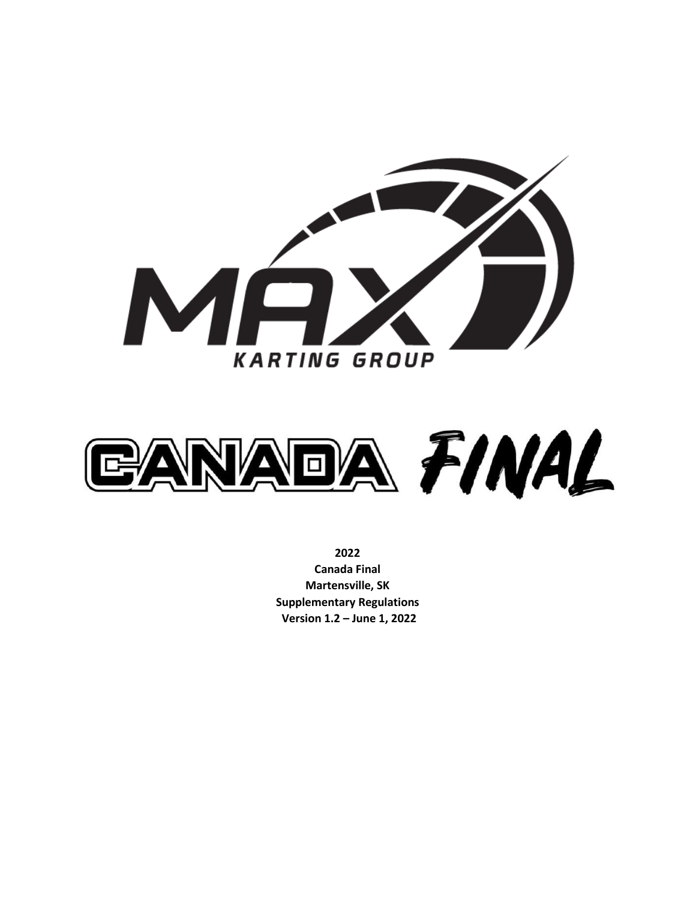

<span id="page-0-0"></span>

**2022 Canada Final Martensville, SK Supplementary Regulations Version 1.2 – June 1, 2022**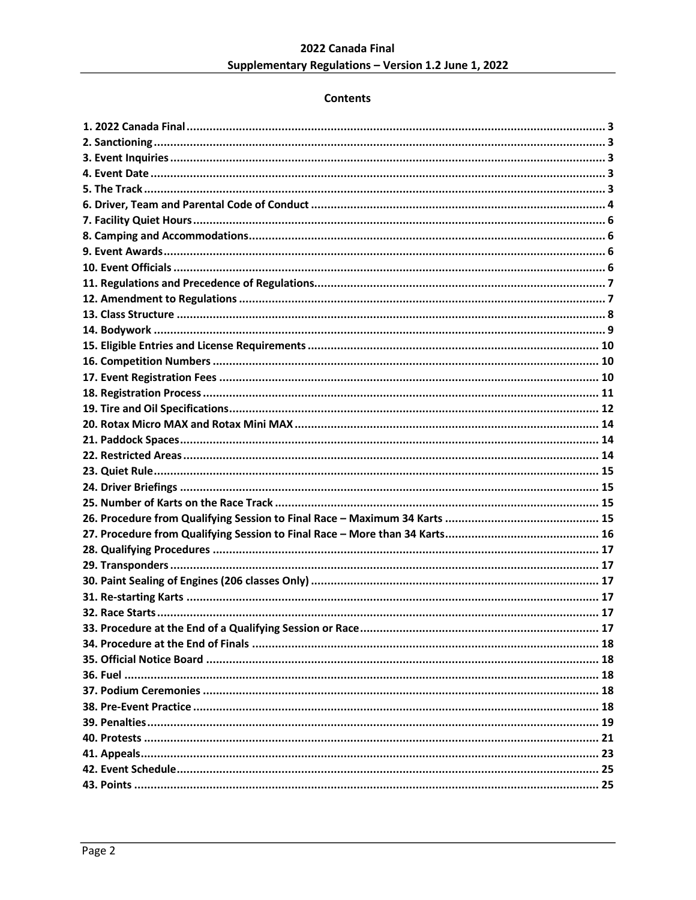# **Contents**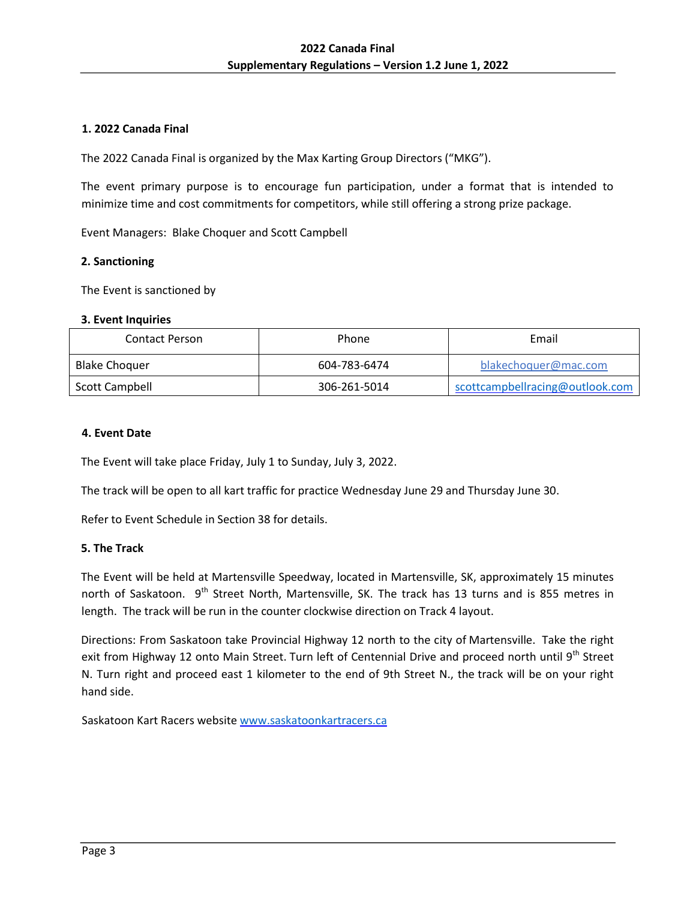# **1. 2022 Canada Final**

The 2022 Canada Final is organized by the Max Karting Group Directors ("MKG").

The event primary purpose is to encourage fun participation, under a format that is intended to minimize time and cost commitments for competitors, while still offering a strong prize package.

Event Managers: Blake Choquer and Scott Campbell

#### <span id="page-2-0"></span>**2. Sanctioning**

The Event is sanctioned by

#### <span id="page-2-1"></span>**3. Event Inquiries**

| Contact Person       | Phone        | Email                           |  |  |
|----------------------|--------------|---------------------------------|--|--|
| <b>Blake Choquer</b> | 604-783-6474 | blakechoquer@mac.com            |  |  |
| Scott Campbell       | 306-261-5014 | scottcampbellracing@outlook.com |  |  |

#### <span id="page-2-2"></span>**4. Event Date**

The Event will take place Friday, July 1 to Sunday, July 3, 2022.

The track will be open to all kart traffic for practice Wednesday June 29 and Thursday June 30.

Refer to Event Schedule in Section 38 for details.

## <span id="page-2-3"></span>**5. The Track**

The Event will be held at Martensville Speedway, located in Martensville, SK, approximately 15 minutes north of Saskatoon. 9<sup>th</sup> Street North, Martensville, SK. The track has 13 turns and is 855 metres in length. The track will be run in the counter clockwise direction on Track 4 layout.

Directions: From Saskatoon take Provincial Highway 12 north to the city of Martensville. Take the right exit from Highway 12 onto Main Street. Turn left of Centennial Drive and proceed north until 9<sup>th</sup> Street N. Turn right and proceed east 1 kilometer to the end of 9th Street N., the track will be on your right hand side.

Saskatoon Kart Racers website [www.saskatoonkartracers.ca](file:///C:/Users/user/Documents/Max%20Karting%20Group/Max%20Karting%20Group/www.saskatoonkartracers.ca)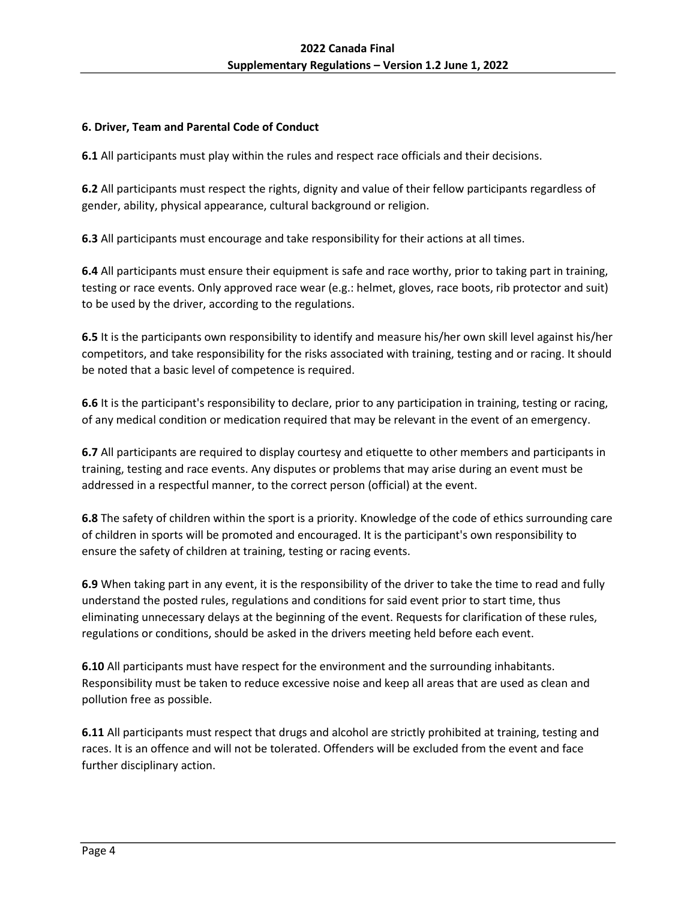# <span id="page-3-0"></span>**6. Driver, Team and Parental Code of Conduct**

**6.1** All participants must play within the rules and respect race officials and their decisions.

**6.2** All participants must respect the rights, dignity and value of their fellow participants regardless of gender, ability, physical appearance, cultural background or religion.

**6.3** All participants must encourage and take responsibility for their actions at all times.

**6.4** All participants must ensure their equipment is safe and race worthy, prior to taking part in training, testing or race events. Only approved race wear (e.g.: helmet, gloves, race boots, rib protector and suit) to be used by the driver, according to the regulations.

**6.5** It is the participants own responsibility to identify and measure his/her own skill level against his/her competitors, and take responsibility for the risks associated with training, testing and or racing. It should be noted that a basic level of competence is required.

**6.6** It is the participant's responsibility to declare, prior to any participation in training, testing or racing, of any medical condition or medication required that may be relevant in the event of an emergency.

**6.7** All participants are required to display courtesy and etiquette to other members and participants in training, testing and race events. Any disputes or problems that may arise during an event must be addressed in a respectful manner, to the correct person (official) at the event.

**6.8** The safety of children within the sport is a priority. Knowledge of the code of ethics surrounding care of children in sports will be promoted and encouraged. It is the participant's own responsibility to ensure the safety of children at training, testing or racing events.

**6.9** When taking part in any event, it is the responsibility of the driver to take the time to read and fully understand the posted rules, regulations and conditions for said event prior to start time, thus eliminating unnecessary delays at the beginning of the event. Requests for clarification of these rules, regulations or conditions, should be asked in the drivers meeting held before each event.

**6.10** All participants must have respect for the environment and the surrounding inhabitants. Responsibility must be taken to reduce excessive noise and keep all areas that are used as clean and pollution free as possible.

**6.11** All participants must respect that drugs and alcohol are strictly prohibited at training, testing and races. It is an offence and will not be tolerated. Offenders will be excluded from the event and face further disciplinary action.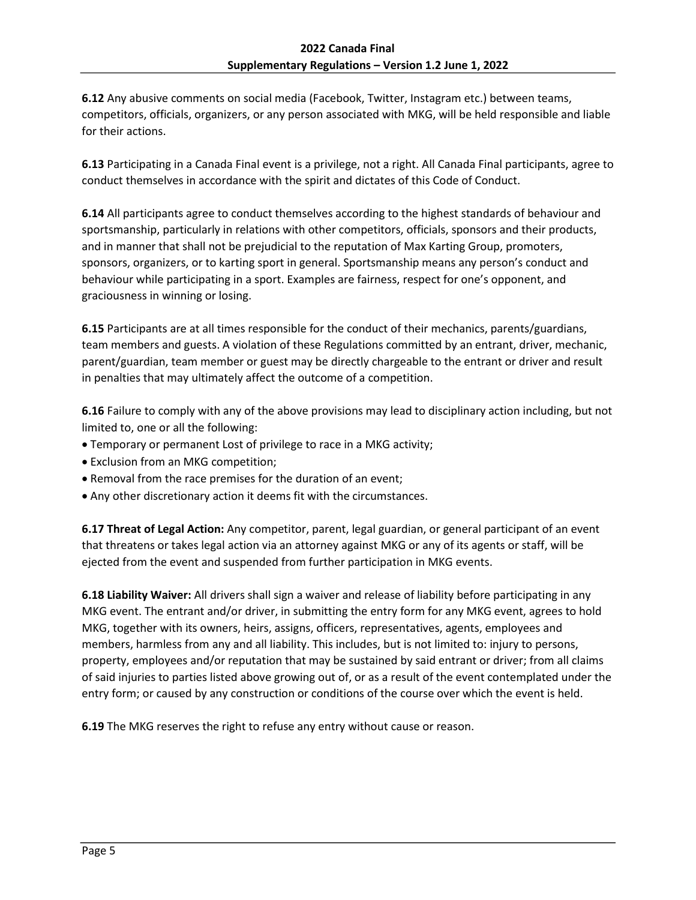**6.12** Any abusive comments on social media (Facebook, Twitter, Instagram etc.) between teams, competitors, officials, organizers, or any person associated with MKG, will be held responsible and liable for their actions.

**6.13** Participating in a Canada Final event is a privilege, not a right. All Canada Final participants, agree to conduct themselves in accordance with the spirit and dictates of this Code of Conduct.

**6.14** All participants agree to conduct themselves according to the highest standards of behaviour and sportsmanship, particularly in relations with other competitors, officials, sponsors and their products, and in manner that shall not be prejudicial to the reputation of Max Karting Group, promoters, sponsors, organizers, or to karting sport in general. Sportsmanship means any person's conduct and behaviour while participating in a sport. Examples are fairness, respect for one's opponent, and graciousness in winning or losing.

**6.15** Participants are at all times responsible for the conduct of their mechanics, parents/guardians, team members and guests. A violation of these Regulations committed by an entrant, driver, mechanic, parent/guardian, team member or guest may be directly chargeable to the entrant or driver and result in penalties that may ultimately affect the outcome of a competition.

**6.16** Failure to comply with any of the above provisions may lead to disciplinary action including, but not limited to, one or all the following:

- Temporary or permanent Lost of privilege to race in a MKG activity;
- Exclusion from an MKG competition;
- Removal from the race premises for the duration of an event;
- Any other discretionary action it deems fit with the circumstances.

**6.17 Threat of Legal Action:** Any competitor, parent, legal guardian, or general participant of an event that threatens or takes legal action via an attorney against MKG or any of its agents or staff, will be ejected from the event and suspended from further participation in MKG events.

**6.18 Liability Waiver:** All drivers shall sign a waiver and release of liability before participating in any MKG event. The entrant and/or driver, in submitting the entry form for any MKG event, agrees to hold MKG, together with its owners, heirs, assigns, officers, representatives, agents, employees and members, harmless from any and all liability. This includes, but is not limited to: injury to persons, property, employees and/or reputation that may be sustained by said entrant or driver; from all claims of said injuries to parties listed above growing out of, or as a result of the event contemplated under the entry form; or caused by any construction or conditions of the course over which the event is held.

**6.19** The MKG reserves the right to refuse any entry without cause or reason.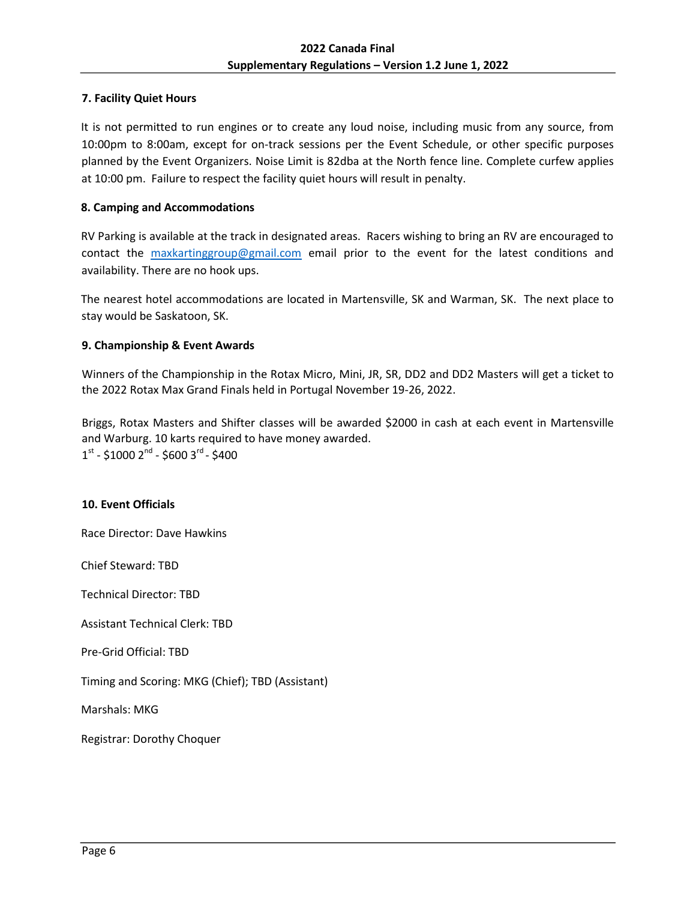## <span id="page-5-0"></span>**7. Facility Quiet Hours**

It is not permitted to run engines or to create any loud noise, including music from any source, from 10:00pm to 8:00am, except for on-track sessions per the Event Schedule, or other specific purposes planned by the Event Organizers. Noise Limit is 82dba at the North fence line. Complete curfew applies at 10:00 pm. Failure to respect the facility quiet hours will result in penalty.

## <span id="page-5-1"></span>**8. Camping and Accommodations**

<span id="page-5-2"></span>RV Parking is available at the track in designated areas. Racers wishing to bring an RV are encouraged to contact the [maxkartinggroup@gmail.com](mailto:maxkartinggroup@gmail.com) email prior to the event for the latest conditions and availability. There are no hook ups.

The nearest hotel accommodations are located in Martensville, SK and Warman, SK. The next place to stay would be Saskatoon, SK.

#### **9. Championship & Event Awards**

Winners of the Championship in the Rotax Micro, Mini, JR, SR, DD2 and DD2 Masters will get a ticket to the 2022 Rotax Max Grand Finals held in Portugal November 19-26, 2022.

Briggs, Rotax Masters and Shifter classes will be awarded \$2000 in cash at each event in Martensville and Warburg. 10 karts required to have money awarded. 1st - \$1000 2<sup>nd</sup> - \$600 3<sup>rd</sup> - \$400

#### <span id="page-5-3"></span>**10. Event Officials**

Race Director: Dave Hawkins

Chief Steward: TBD

Technical Director: TBD

Assistant Technical Clerk: TBD

Pre-Grid Official: TBD

Timing and Scoring: MKG (Chief); TBD (Assistant)

Marshals: MKG

Registrar: Dorothy Choquer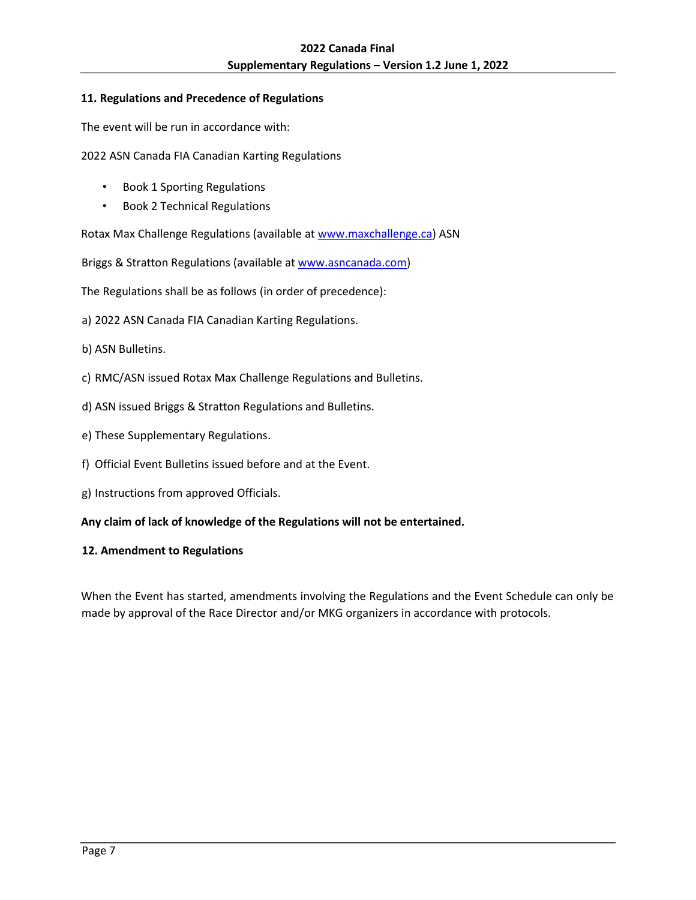## <span id="page-6-0"></span>**11. Regulations and Precedence of Regulations**

The event will be run in accordance with:

2022 ASN Canada FIA Canadian Karting Regulations

- Book 1 Sporting Regulations
- Book 2 Technical Regulations

Rotax Max Challenge Regulations (available a[t www.maxchallenge.ca\)](http://www.maxchallenge.ca/) ASN

Briggs & Stratton Regulations (available [at www.asncanada.com\)](http://www.asncanada.com/) 

The Regulations shall be as follows (in order of precedence):

a) 2022 ASN Canada FIA Canadian Karting Regulations.

- b) ASN Bulletins.
- c) RMC/ASN issued Rotax Max Challenge Regulations and Bulletins.
- d) ASN issued Briggs & Stratton Regulations and Bulletins.
- e) These Supplementary Regulations.
- f) Official Event Bulletins issued before and at the Event.
- g) Instructions from approved Officials.

**Any claim of lack of knowledge of the Regulations will not be entertained.** 

#### <span id="page-6-1"></span>**12. Amendment to Regulations**

When the Event has started, amendments involving the Regulations and the Event Schedule can only be made by approval of the Race Director and/or MKG organizers in accordance with protocols.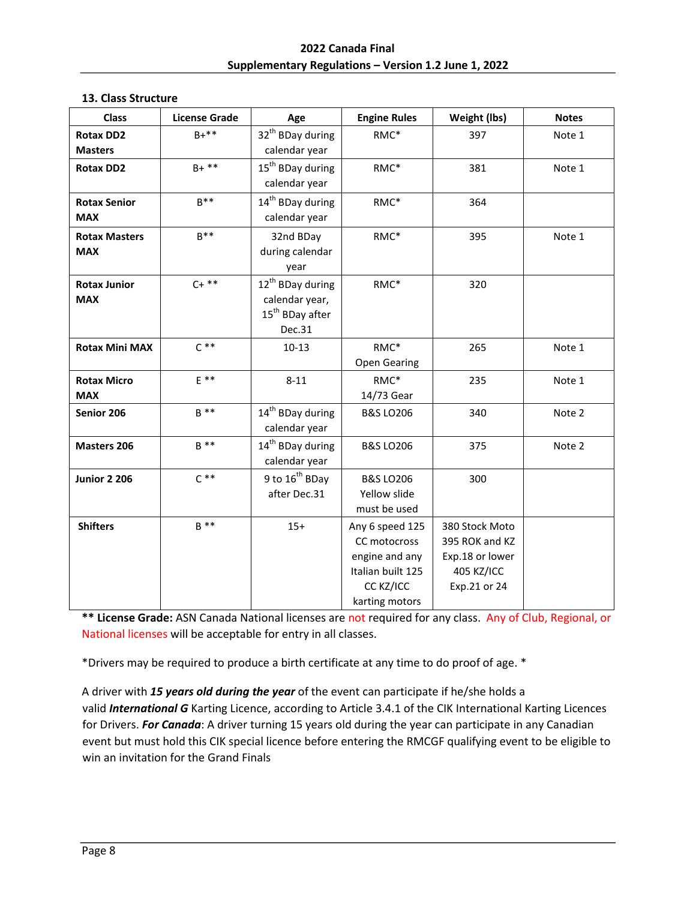#### <span id="page-7-0"></span>**13. Class Structure**

| <b>Class</b>          | <b>License Grade</b> | Age                                           | <b>Engine Rules</b>         | Weight (lbs)    | <b>Notes</b> |
|-----------------------|----------------------|-----------------------------------------------|-----------------------------|-----------------|--------------|
| <b>Rotax DD2</b>      | $B+**$               | 32 <sup>th</sup> BDay during                  | RMC*                        | 397             | Note 1       |
| <b>Masters</b>        | $B+**$               | calendar year<br>15 <sup>th</sup> BDay during |                             |                 |              |
| <b>Rotax DD2</b>      |                      | calendar year                                 | RMC*                        | 381             | Note 1       |
| <b>Rotax Senior</b>   | $R^{**}$             | 14 <sup>th</sup> BDay during                  | RMC*                        | 364             |              |
| <b>MAX</b>            |                      | calendar year                                 |                             |                 |              |
| <b>Rotax Masters</b>  | $B***$               | 32nd BDay                                     | RMC*                        | 395             | Note 1       |
| <b>MAX</b>            |                      | during calendar<br>year                       |                             |                 |              |
| <b>Rotax Junior</b>   | $C+***$              | 12 <sup>th</sup> BDay during                  | RMC*                        | 320             |              |
| <b>MAX</b>            |                      | calendar year,                                |                             |                 |              |
|                       |                      | 15 <sup>th</sup> BDay after                   |                             |                 |              |
|                       |                      | Dec.31                                        |                             |                 |              |
| <b>Rotax Mini MAX</b> | $C^*$                | $10 - 13$                                     | RMC*                        | 265             | Note 1       |
|                       |                      |                                               | <b>Open Gearing</b>         |                 |              |
| <b>Rotax Micro</b>    | $E$ **               | $8 - 11$                                      | RMC*                        | 235             | Note 1       |
| <b>MAX</b>            |                      |                                               | 14/73 Gear                  |                 |              |
| Senior 206            | $B$ **               |                                               | <b>B&amp;S LO206</b>        | 340             | Note 2       |
|                       |                      | calendar year<br>14 <sup>th</sup> BDay during |                             |                 |              |
| <b>Masters 206</b>    | $B$ **               |                                               | <b>B&amp;S LO206</b><br>375 |                 | Note 2       |
|                       |                      | calendar year<br>9 to 16 <sup>th</sup> BDay   |                             |                 |              |
| <b>Junior 2 206</b>   | $C***$               |                                               | <b>B&amp;S LO206</b>        | 300             |              |
|                       |                      | after Dec.31                                  | Yellow slide                |                 |              |
|                       |                      |                                               | must be used                |                 |              |
| <b>Shifters</b>       | $B$ **<br>$15+$      |                                               | Any 6 speed 125             | 380 Stock Moto  |              |
|                       |                      |                                               | CC motocross                | 395 ROK and KZ  |              |
|                       |                      |                                               | engine and any              | Exp.18 or lower |              |
|                       |                      |                                               | Italian built 125           | 405 KZ/ICC      |              |
|                       |                      |                                               | CC KZ/ICC                   | Exp.21 or 24    |              |
|                       |                      |                                               | karting motors              |                 |              |

**\*\* License Grade:** ASN Canada National licenses are not required for any class. Any of Club, Regional, or National licenses will be acceptable for entry in all classes.

\*Drivers may be required to produce a birth certificate at any time to do proof of age. \*

A driver with *15 years old during the year* of the event can participate if he/she holds a valid *International G* Karting Licence, according to Article 3.4.1 of the CIK International Karting Licences for Drivers. *For Canada*: A driver turning 15 years old during the year can participate in any Canadian event but must hold this CIK special licence before entering the RMCGF qualifying event to be eligible to win an invitation for the Grand Finals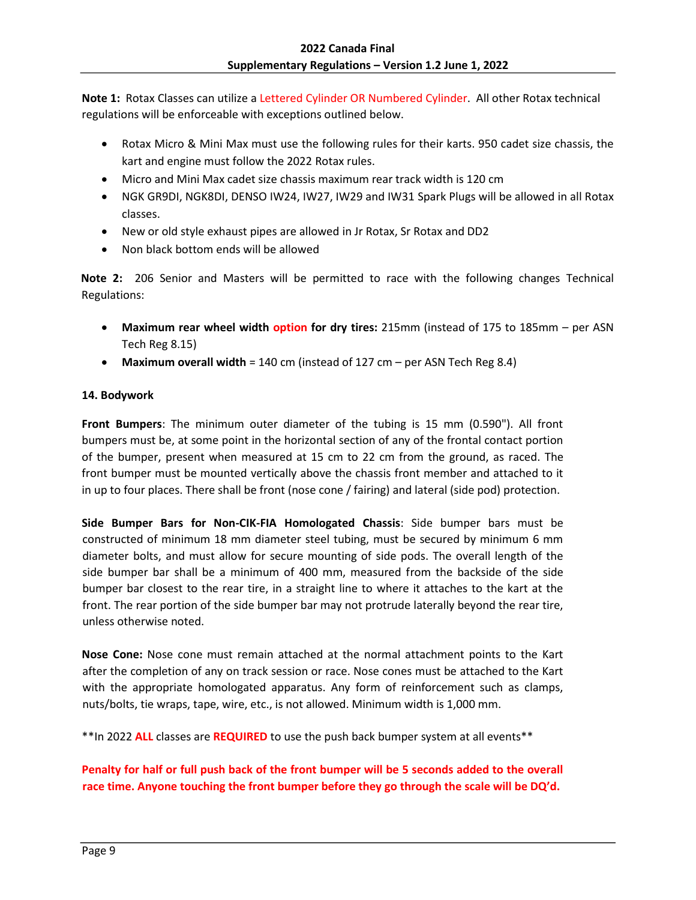**Note 1:** Rotax Classes can utilize a Lettered Cylinder OR Numbered Cylinder. All other Rotax technical regulations will be enforceable with exceptions outlined below.

- Rotax Micro & Mini Max must use the following rules for their karts. 950 cadet size chassis, the kart and engine must follow the 2022 Rotax rules.
- Micro and Mini Max cadet size chassis maximum rear track width is 120 cm
- NGK GR9DI, NGK8DI, DENSO IW24, IW27, IW29 and IW31 Spark Plugs will be allowed in all Rotax classes.
- New or old style exhaust pipes are allowed in Jr Rotax, Sr Rotax and DD2
- Non black bottom ends will be allowed

**Note 2:** 206 Senior and Masters will be permitted to race with the following changes Technical Regulations:

- **Maximum rear wheel width option for dry tires:** 215mm (instead of 175 to 185mm per ASN Tech Reg 8.15)
- **Maximum overall width** = 140 cm (instead of 127 cm per ASN Tech Reg 8.4)

## <span id="page-8-0"></span>**14. Bodywork**

**Front Bumpers**: The minimum outer diameter of the tubing is 15 mm (0.590"). All front bumpers must be, at some point in the horizontal section of any of the frontal contact portion of the bumper, present when measured at 15 cm to 22 cm from the ground, as raced. The front bumper must be mounted vertically above the chassis front member and attached to it in up to four places. There shall be front (nose cone / fairing) and lateral (side pod) protection.

**Side Bumper Bars for Non-CIK-FIA Homologated Chassis**: Side bumper bars must be constructed of minimum 18 mm diameter steel tubing, must be secured by minimum 6 mm diameter bolts, and must allow for secure mounting of side pods. The overall length of the side bumper bar shall be a minimum of 400 mm, measured from the backside of the side bumper bar closest to the rear tire, in a straight line to where it attaches to the kart at the front. The rear portion of the side bumper bar may not protrude laterally beyond the rear tire, unless otherwise noted.

**Nose Cone:** Nose cone must remain attached at the normal attachment points to the Kart after the completion of any on track session or race. Nose cones must be attached to the Kart with the appropriate homologated apparatus. Any form of reinforcement such as clamps, nuts/bolts, tie wraps, tape, wire, etc., is not allowed. Minimum width is 1,000 mm.

\*\*In 2022 **ALL** classes are **REQUIRED** to use the push back bumper system at all events\*\*

# **Penalty for half or full push back of the front bumper will be 5 seconds added to the overall race time. Anyone touching the front bumper before they go through the scale will be DQ'd.**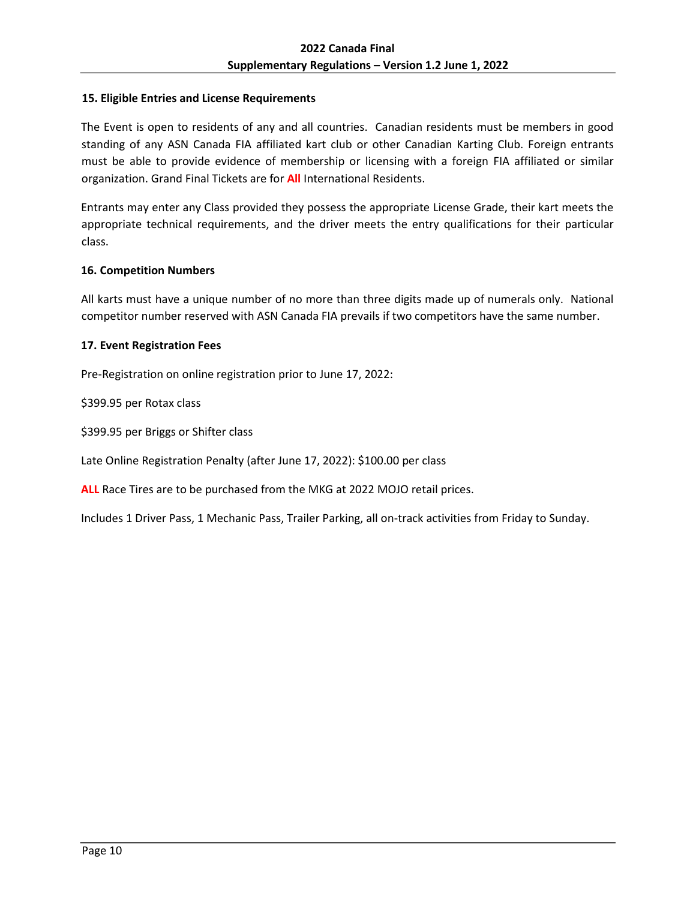#### <span id="page-9-0"></span>**15. Eligible Entries and License Requirements**

The Event is open to residents of any and all countries. Canadian residents must be members in good standing of any ASN Canada FIA affiliated kart club or other Canadian Karting Club. Foreign entrants must be able to provide evidence of membership or licensing with a foreign FIA affiliated or similar organization. Grand Final Tickets are for **All** International Residents.

Entrants may enter any Class provided they possess the appropriate License Grade, their kart meets the appropriate technical requirements, and the driver meets the entry qualifications for their particular class.

#### <span id="page-9-1"></span>**16. Competition Numbers**

All karts must have a unique number of no more than three digits made up of numerals only. National competitor number reserved with ASN Canada FIA prevails if two competitors have the same number.

#### <span id="page-9-2"></span>**17. Event Registration Fees**

Pre-Registration on online registration prior to June 17, 2022:

\$399.95 per Rotax class

\$399.95 per Briggs or Shifter class

Late Online Registration Penalty (after June 17, 2022): \$100.00 per class

**ALL** Race Tires are to be purchased from the MKG at 2022 MOJO retail prices.

Includes 1 Driver Pass, 1 Mechanic Pass, Trailer Parking, all on-track activities from Friday to Sunday.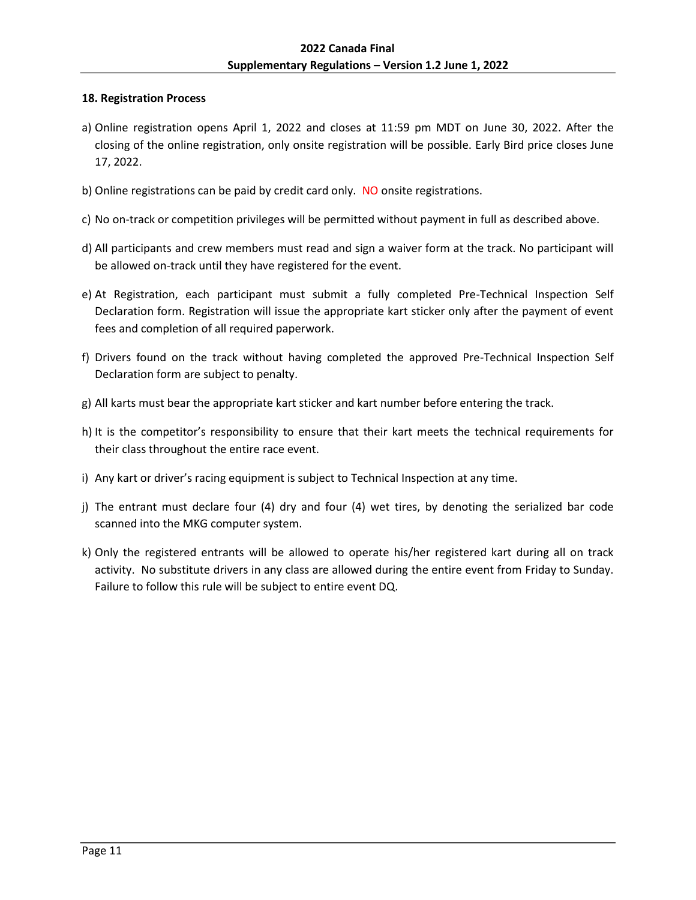## <span id="page-10-0"></span>**18. Registration Process**

- a) Online registration opens April 1, 2022 and closes at 11:59 pm MDT on June 30, 2022. After the closing of the online registration, only onsite registration will be possible. Early Bird price closes June 17, 2022.
- b) Online registrations can be paid by credit card only. NO onsite registrations.
- c) No on-track or competition privileges will be permitted without payment in full as described above.
- d) All participants and crew members must read and sign a waiver form at the track. No participant will be allowed on-track until they have registered for the event.
- e) At Registration, each participant must submit a fully completed Pre-Technical Inspection Self Declaration form. Registration will issue the appropriate kart sticker only after the payment of event fees and completion of all required paperwork.
- f) Drivers found on the track without having completed the approved Pre-Technical Inspection Self Declaration form are subject to penalty.
- g) All karts must bear the appropriate kart sticker and kart number before entering the track.
- h) It is the competitor's responsibility to ensure that their kart meets the technical requirements for their class throughout the entire race event.
- i) Any kart or driver's racing equipment is subject to Technical Inspection at any time.
- j) The entrant must declare four (4) dry and four (4) wet tires, by denoting the serialized bar code scanned into the MKG computer system.
- k) Only the registered entrants will be allowed to operate his/her registered kart during all on track activity. No substitute drivers in any class are allowed during the entire event from Friday to Sunday. Failure to follow this rule will be subject to entire event DQ.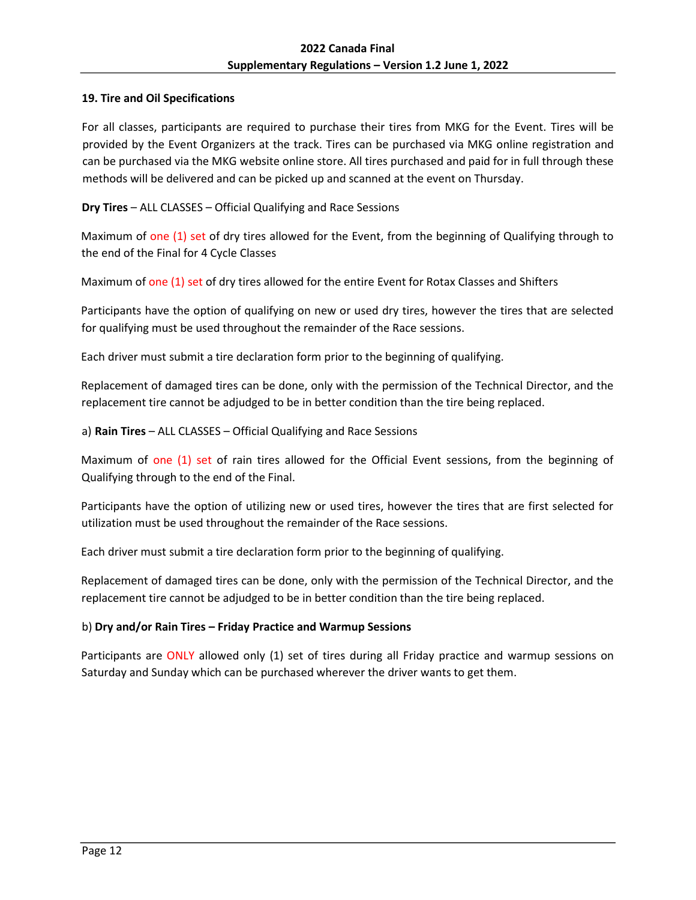## <span id="page-11-0"></span>**19. Tire and Oil Specifications**

For all classes, participants are required to purchase their tires from MKG for the Event. Tires will be provided by the Event Organizers at the track. Tires can be purchased via MKG online registration and can be purchased via the MKG website online store. All tires purchased and paid for in full through these methods will be delivered and can be picked up and scanned at the event on Thursday.

**Dry Tires** – ALL CLASSES – Official Qualifying and Race Sessions

Maximum of one (1) set of dry tires allowed for the Event, from the beginning of Qualifying through to the end of the Final for 4 Cycle Classes

Maximum of one (1) set of dry tires allowed for the entire Event for Rotax Classes and Shifters

Participants have the option of qualifying on new or used dry tires, however the tires that are selected for qualifying must be used throughout the remainder of the Race sessions.

Each driver must submit a tire declaration form prior to the beginning of qualifying.

Replacement of damaged tires can be done, only with the permission of the Technical Director, and the replacement tire cannot be adjudged to be in better condition than the tire being replaced.

a) **Rain Tires** – ALL CLASSES – Official Qualifying and Race Sessions

Maximum of one (1) set of rain tires allowed for the Official Event sessions, from the beginning of Qualifying through to the end of the Final.

Participants have the option of utilizing new or used tires, however the tires that are first selected for utilization must be used throughout the remainder of the Race sessions.

Each driver must submit a tire declaration form prior to the beginning of qualifying.

Replacement of damaged tires can be done, only with the permission of the Technical Director, and the replacement tire cannot be adjudged to be in better condition than the tire being replaced.

## b) **Dry and/or Rain Tires – Friday Practice and Warmup Sessions**

Participants are ONLY allowed only (1) set of tires during all Friday practice and warmup sessions on Saturday and Sunday which can be purchased wherever the driver wants to get them.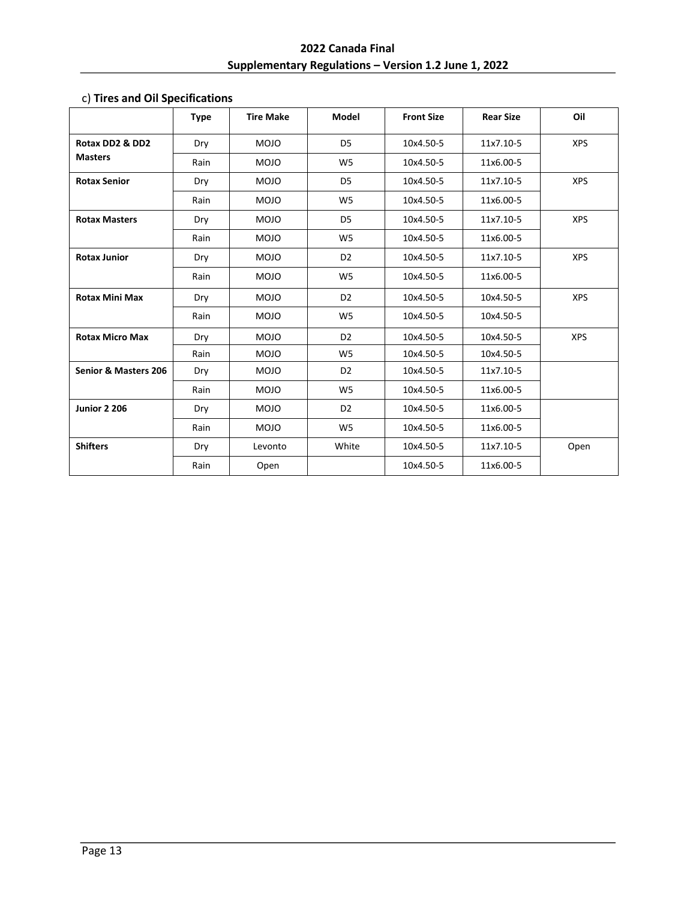# **2022 Canada Final Supplementary Regulations – Version 1.2 June 1, 2022**

|                                 | <b>Type</b> | <b>Tire Make</b> | Model          | <b>Front Size</b> | <b>Rear Size</b> | Oil        |
|---------------------------------|-------------|------------------|----------------|-------------------|------------------|------------|
| Rotax DD2 & DD2                 | Dry         | <b>MOJO</b>      | D <sub>5</sub> | 10x4.50-5         | 11x7.10-5        | <b>XPS</b> |
| <b>Masters</b>                  | Rain        | <b>MOJO</b>      | W <sub>5</sub> | 10x4.50-5         | 11x6.00-5        |            |
| <b>Rotax Senior</b>             | Dry         | <b>MOJO</b>      | D <sub>5</sub> | 10x4.50-5         | 11x7.10-5        | <b>XPS</b> |
|                                 | Rain        | <b>MOJO</b>      | W <sub>5</sub> | 10x4.50-5         | 11x6.00-5        |            |
| <b>Rotax Masters</b>            | Dry         | <b>MOJO</b>      | D <sub>5</sub> | 10x4.50-5         | 11x7.10-5        | <b>XPS</b> |
|                                 | Rain        | <b>MOJO</b>      | W <sub>5</sub> | 10x4.50-5         | 11x6.00-5        |            |
| <b>Rotax Junior</b>             | Dry         | <b>MOJO</b>      | D <sub>2</sub> | 10x4.50-5         | 11x7.10-5        | <b>XPS</b> |
|                                 | Rain        | <b>MOJO</b>      | W <sub>5</sub> | 10x4.50-5         | 11x6.00-5        |            |
| <b>Rotax Mini Max</b>           | Dry         | <b>MOJO</b>      | D <sub>2</sub> | 10x4.50-5         | 10x4.50-5        | <b>XPS</b> |
|                                 | Rain        | <b>MOJO</b>      | W <sub>5</sub> | 10x4.50-5         | 10x4.50-5        |            |
| <b>Rotax Micro Max</b>          | Dry         | <b>MOJO</b>      | D <sub>2</sub> | 10x4.50-5         | 10x4.50-5        | <b>XPS</b> |
|                                 | Rain        | <b>MOJO</b>      | W <sub>5</sub> | 10x4.50-5         | 10x4.50-5        |            |
| <b>Senior &amp; Masters 206</b> | Dry         | <b>MOJO</b>      | D <sub>2</sub> | 10x4.50-5         | 11x7.10-5        |            |
|                                 | Rain        | <b>MOJO</b>      | W <sub>5</sub> | 10x4.50-5         | 11x6.00-5        |            |
| <b>Junior 2 206</b>             | Dry         | <b>MOJO</b>      | D <sub>2</sub> | 10x4.50-5         | 11x6.00-5        |            |
|                                 | Rain        | <b>MOJO</b>      | W <sub>5</sub> | 10x4.50-5         | 11x6.00-5        |            |
| <b>Shifters</b>                 | Dry         | Levonto          | White          | 10x4.50-5         | 11x7.10-5        | Open       |
|                                 | Rain        | Open             |                | 10x4.50-5         | 11x6.00-5        |            |

# c) **Tires and Oil Specifications**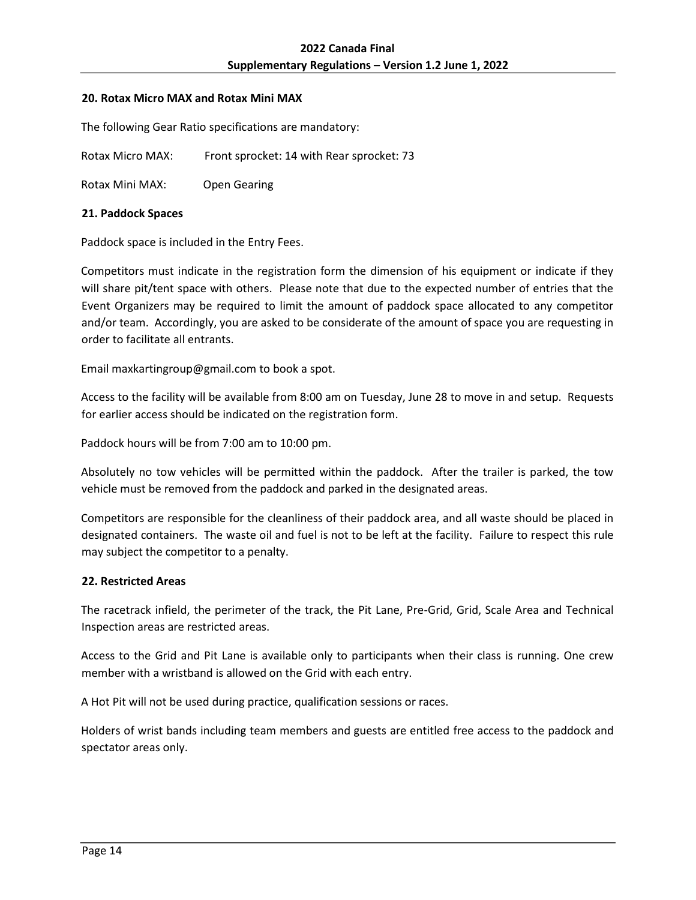#### <span id="page-13-0"></span>**20. Rotax Micro MAX and Rotax Mini MAX**

The following Gear Ratio specifications are mandatory:

Rotax Micro MAX: Front sprocket: 14 with Rear sprocket: 73

Rotax Mini MAX: Open Gearing

## <span id="page-13-1"></span>**21. Paddock Spaces**

Paddock space is included in the Entry Fees.

Competitors must indicate in the registration form the dimension of his equipment or indicate if they will share pit/tent space with others. Please note that due to the expected number of entries that the Event Organizers may be required to limit the amount of paddock space allocated to any competitor and/or team. Accordingly, you are asked to be considerate of the amount of space you are requesting in order to facilitate all entrants.

Email maxkartingroup@gmail.com to book a spot.

Access to the facility will be available from 8:00 am on Tuesday, June 28 to move in and setup. Requests for earlier access should be indicated on the registration form.

Paddock hours will be from 7:00 am to 10:00 pm.

Absolutely no tow vehicles will be permitted within the paddock. After the trailer is parked, the tow vehicle must be removed from the paddock and parked in the designated areas.

Competitors are responsible for the cleanliness of their paddock area, and all waste should be placed in designated containers. The waste oil and fuel is not to be left at the facility. Failure to respect this rule may subject the competitor to a penalty.

## <span id="page-13-2"></span>**22. Restricted Areas**

The racetrack infield, the perimeter of the track, the Pit Lane, Pre-Grid, Grid, Scale Area and Technical Inspection areas are restricted areas.

Access to the Grid and Pit Lane is available only to participants when their class is running. One crew member with a wristband is allowed on the Grid with each entry.

A Hot Pit will not be used during practice, qualification sessions or races.

Holders of wrist bands including team members and guests are entitled free access to the paddock and spectator areas only.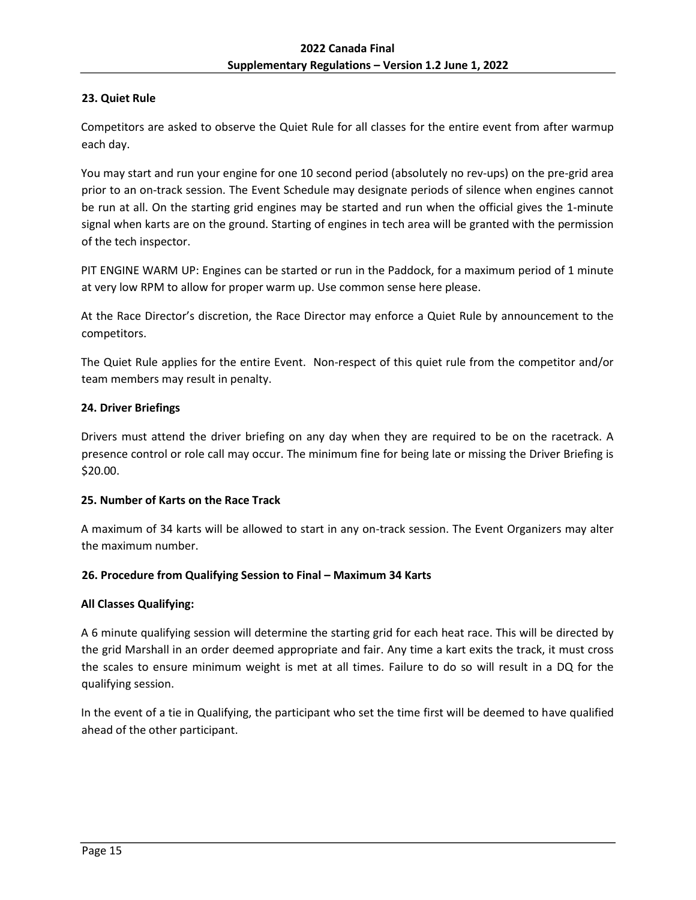# <span id="page-14-0"></span>**23. Quiet Rule**

Competitors are asked to observe the Quiet Rule for all classes for the entire event from after warmup each day.

You may start and run your engine for one 10 second period (absolutely no rev‐ups) on the pre‐grid area prior to an on-track session. The Event Schedule may designate periods of silence when engines cannot be run at all. On the starting grid engines may be started and run when the official gives the 1‐minute signal when karts are on the ground. Starting of engines in tech area will be granted with the permission of the tech inspector.

PIT ENGINE WARM UP: Engines can be started or run in the Paddock, for a maximum period of 1 minute at very low RPM to allow for proper warm up. Use common sense here please.

At the Race Director's discretion, the Race Director may enforce a Quiet Rule by announcement to the competitors.

The Quiet Rule applies for the entire Event. Non‐respect of this quiet rule from the competitor and/or team members may result in penalty.

## <span id="page-14-1"></span>**24. Driver Briefings**

Drivers must attend the driver briefing on any day when they are required to be on the racetrack. A presence control or role call may occur. The minimum fine for being late or missing the Driver Briefing is \$20.00.

## <span id="page-14-2"></span>**25. Number of Karts on the Race Track**

A maximum of 34 karts will be allowed to start in any on-track session. The Event Organizers may alter the maximum number.

## <span id="page-14-3"></span>**26. Procedure from Qualifying Session to Final – Maximum 34 Karts**

## **All Classes Qualifying:**

A 6 minute qualifying session will determine the starting grid for each heat race. This will be directed by the grid Marshall in an order deemed appropriate and fair. Any time a kart exits the track, it must cross the scales to ensure minimum weight is met at all times. Failure to do so will result in a DQ for the qualifying session.

In the event of a tie in Qualifying, the participant who set the time first will be deemed to have qualified ahead of the other participant.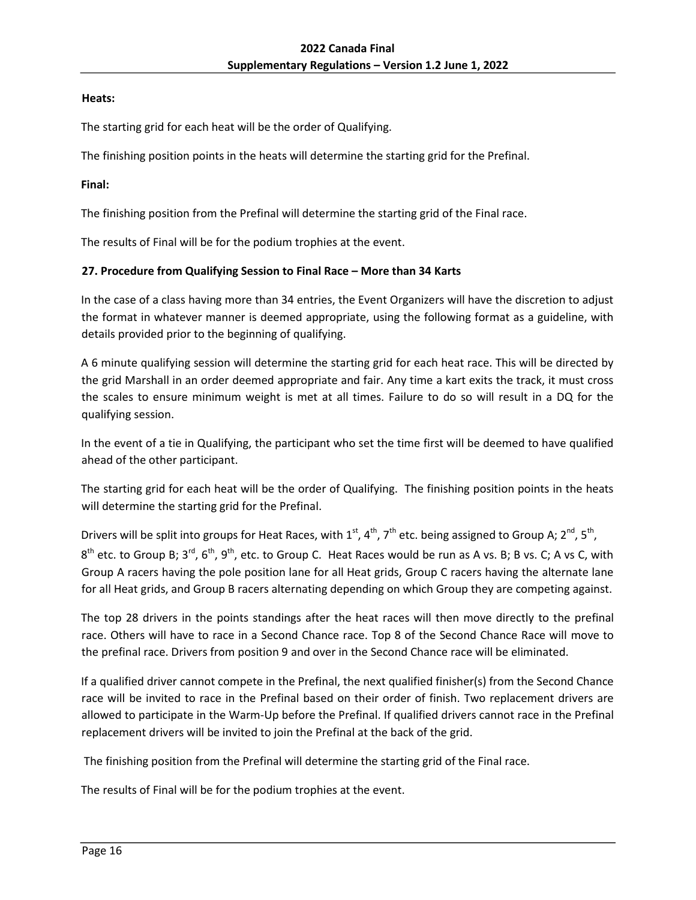## **Heats:**

The starting grid for each heat will be the order of Qualifying.

The finishing position points in the heats will determine the starting grid for the Prefinal.

## **Final:**

The finishing position from the Prefinal will determine the starting grid of the Final race.

The results of Final will be for the podium trophies at the event.

## <span id="page-15-0"></span>**27. Procedure from Qualifying Session to Final Race – More than 34 Karts**

In the case of a class having more than 34 entries, the Event Organizers will have the discretion to adjust the format in whatever manner is deemed appropriate, using the following format as a guideline, with details provided prior to the beginning of qualifying.

A 6 minute qualifying session will determine the starting grid for each heat race. This will be directed by the grid Marshall in an order deemed appropriate and fair. Any time a kart exits the track, it must cross the scales to ensure minimum weight is met at all times. Failure to do so will result in a DQ for the qualifying session.

In the event of a tie in Qualifying, the participant who set the time first will be deemed to have qualified ahead of the other participant.

The starting grid for each heat will be the order of Qualifying. The finishing position points in the heats will determine the starting grid for the Prefinal.

Drivers will be split into groups for Heat Races, with 1<sup>st</sup>, 4<sup>th</sup>, 7<sup>th</sup> etc. being assigned to Group A; 2<sup>nd</sup>, 5<sup>th</sup>,

 $8^{th}$  etc. to Group B; 3<sup>rd</sup>, 6<sup>th</sup>, 9<sup>th</sup>, etc. to Group C. Heat Races would be run as A vs. B; B vs. C; A vs C, with Group A racers having the pole position lane for all Heat grids, Group C racers having the alternate lane for all Heat grids, and Group B racers alternating depending on which Group they are competing against.

The top 28 drivers in the points standings after the heat races will then move directly to the prefinal race. Others will have to race in a Second Chance race. Top 8 of the Second Chance Race will move to the prefinal race. Drivers from position 9 and over in the Second Chance race will be eliminated.

If a qualified driver cannot compete in the Prefinal, the next qualified finisher(s) from the Second Chance race will be invited to race in the Prefinal based on their order of finish. Two replacement drivers are allowed to participate in the Warm‐Up before the Prefinal. If qualified drivers cannot race in the Prefinal replacement drivers will be invited to join the Prefinal at the back of the grid.

The finishing position from the Prefinal will determine the starting grid of the Final race.

The results of Final will be for the podium trophies at the event.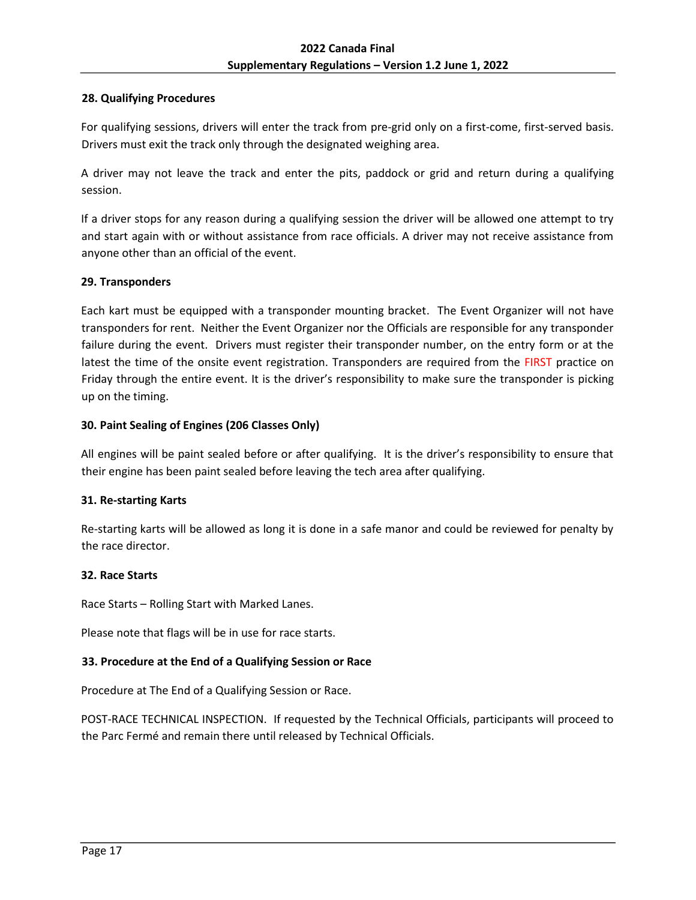## <span id="page-16-0"></span>**28. Qualifying Procedures**

For qualifying sessions, drivers will enter the track from pre-grid only on a first-come, first-served basis. Drivers must exit the track only through the designated weighing area.

A driver may not leave the track and enter the pits, paddock or grid and return during a qualifying session.

If a driver stops for any reason during a qualifying session the driver will be allowed one attempt to try and start again with or without assistance from race officials. A driver may not receive assistance from anyone other than an official of the event.

## <span id="page-16-1"></span>**29. Transponders**

Each kart must be equipped with a transponder mounting bracket. The Event Organizer will not have transponders for rent. Neither the Event Organizer nor the Officials are responsible for any transponder failure during the event. Drivers must register their transponder number, on the entry form or at the latest the time of the onsite event registration. Transponders are required from the FIRST practice on Friday through the entire event. It is the driver's responsibility to make sure the transponder is picking up on the timing.

#### <span id="page-16-2"></span>**30. Paint Sealing of Engines (206 Classes Only)**

All engines will be paint sealed before or after qualifying. It is the driver's responsibility to ensure that their engine has been paint sealed before leaving the tech area after qualifying.

## <span id="page-16-3"></span>**31. Re-starting Karts**

Re-starting karts will be allowed as long it is done in a safe manor and could be reviewed for penalty by the race director.

#### <span id="page-16-4"></span>**32. Race Starts**

Race Starts – Rolling Start with Marked Lanes.

Please note that flags will be in use for race starts.

## <span id="page-16-5"></span>**33. Procedure at the End of a Qualifying Session or Race**

Procedure at The End of a Qualifying Session or Race.

POST-RACE TECHNICAL INSPECTION. If requested by the Technical Officials, participants will proceed to the Parc Fermé and remain there until released by Technical Officials.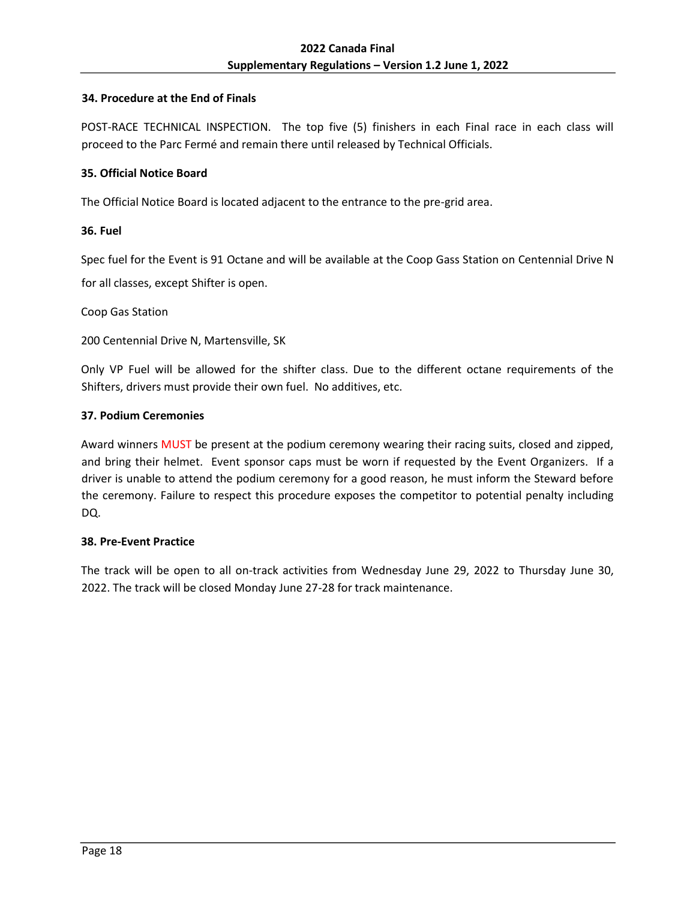## <span id="page-17-0"></span>**34. Procedure at the End of Finals**

POST-RACE TECHNICAL INSPECTION. The top five (5) finishers in each Final race in each class will proceed to the Parc Fermé and remain there until released by Technical Officials.

## <span id="page-17-1"></span>**35. Official Notice Board**

The Official Notice Board is located adjacent to the entrance to the pre-grid area.

#### <span id="page-17-2"></span>**36. Fuel**

<span id="page-17-3"></span>Spec fuel for the Event is 91 Octane and will be available at the Coop Gass Station on Centennial Drive N for all classes, except Shifter is open.

Coop Gas Station

200 Centennial Drive N, Martensville, SK

Only VP Fuel will be allowed for the shifter class. Due to the different octane requirements of the Shifters, drivers must provide their own fuel. No additives, etc.

## **37. Podium Ceremonies**

Award winners MUST be present at the podium ceremony wearing their racing suits, closed and zipped, and bring their helmet. Event sponsor caps must be worn if requested by the Event Organizers. If a driver is unable to attend the podium ceremony for a good reason, he must inform the Steward before the ceremony. Failure to respect this procedure exposes the competitor to potential penalty including DQ.

#### <span id="page-17-4"></span>**38. Pre-Event Practice**

The track will be open to all on-track activities from Wednesday June 29, 2022 to Thursday June 30, 2022. The track will be closed Monday June 27-28 for track maintenance.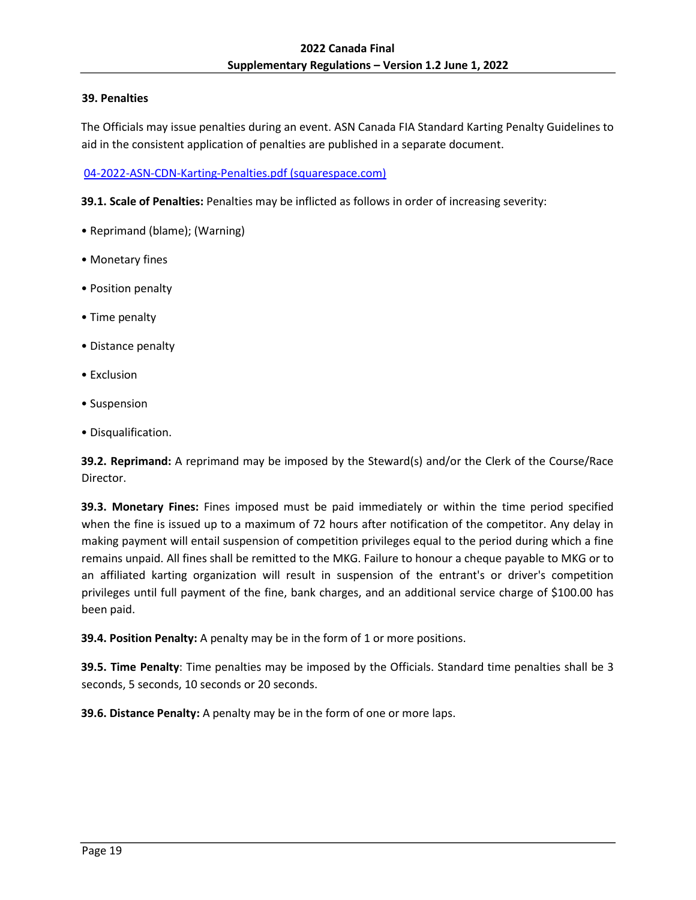## <span id="page-18-0"></span>**39. Penalties**

The Officials may issue penalties during an event. ASN Canada FIA Standard Karting Penalty Guidelines to aid in the consistent application of penalties are published in a separate document.

[04-2022-ASN-CDN-Karting-Penalties.pdf \(squarespace.com\)](https://static1.squarespace.com/static/5ec3f6ee0e3c5849fde5aece/t/62277a6f9ec3c27f15e41657/1646754415520/04-2022-ASN-CDN-Karting-Penalties.pdf)

**39.1. Scale of Penalties:** Penalties may be inflicted as follows in order of increasing severity:

- Reprimand (blame); (Warning)
- Monetary fines
- Position penalty
- Time penalty
- Distance penalty
- Exclusion
- Suspension
- Disqualification.

**39.2. Reprimand:** A reprimand may be imposed by the Steward(s) and/or the Clerk of the Course/Race Director.

**39.3. Monetary Fines:** Fines imposed must be paid immediately or within the time period specified when the fine is issued up to a maximum of 72 hours after notification of the competitor. Any delay in making payment will entail suspension of competition privileges equal to the period during which a fine remains unpaid. All fines shall be remitted to the MKG. Failure to honour a cheque payable to MKG or to an affiliated karting organization will result in suspension of the entrant's or driver's competition privileges until full payment of the fine, bank charges, and an additional service charge of \$100.00 has been paid.

**39.4. Position Penalty:** A penalty may be in the form of 1 or more positions.

**39.5. Time Penalty**: Time penalties may be imposed by the Officials. Standard time penalties shall be 3 seconds, 5 seconds, 10 seconds or 20 seconds.

**39.6. Distance Penalty:** A penalty may be in the form of one or more laps.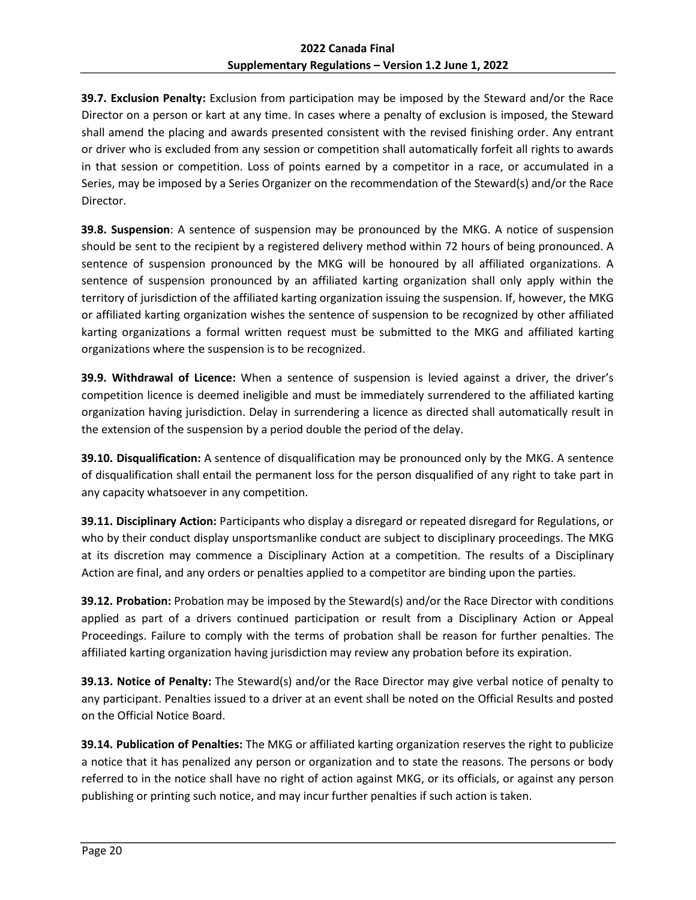**39.7. Exclusion Penalty:** Exclusion from participation may be imposed by the Steward and/or the Race Director on a person or kart at any time. In cases where a penalty of exclusion is imposed, the Steward shall amend the placing and awards presented consistent with the revised finishing order. Any entrant or driver who is excluded from any session or competition shall automatically forfeit all rights to awards in that session or competition. Loss of points earned by a competitor in a race, or accumulated in a Series, may be imposed by a Series Organizer on the recommendation of the Steward(s) and/or the Race Director.

**39.8. Suspension**: A sentence of suspension may be pronounced by the MKG. A notice of suspension should be sent to the recipient by a registered delivery method within 72 hours of being pronounced. A sentence of suspension pronounced by the MKG will be honoured by all affiliated organizations. A sentence of suspension pronounced by an affiliated karting organization shall only apply within the territory of jurisdiction of the affiliated karting organization issuing the suspension. If, however, the MKG or affiliated karting organization wishes the sentence of suspension to be recognized by other affiliated karting organizations a formal written request must be submitted to the MKG and affiliated karting organizations where the suspension is to be recognized.

**39.9. Withdrawal of Licence:** When a sentence of suspension is levied against a driver, the driver's competition licence is deemed ineligible and must be immediately surrendered to the affiliated karting organization having jurisdiction. Delay in surrendering a licence as directed shall automatically result in the extension of the suspension by a period double the period of the delay.

**39.10. Disqualification:** A sentence of disqualification may be pronounced only by the MKG. A sentence of disqualification shall entail the permanent loss for the person disqualified of any right to take part in any capacity whatsoever in any competition.

**39.11. Disciplinary Action:** Participants who display a disregard or repeated disregard for Regulations, or who by their conduct display unsportsmanlike conduct are subject to disciplinary proceedings. The MKG at its discretion may commence a Disciplinary Action at a competition. The results of a Disciplinary Action are final, and any orders or penalties applied to a competitor are binding upon the parties.

**39.12. Probation:** Probation may be imposed by the Steward(s) and/or the Race Director with conditions applied as part of a drivers continued participation or result from a Disciplinary Action or Appeal Proceedings. Failure to comply with the terms of probation shall be reason for further penalties. The affiliated karting organization having jurisdiction may review any probation before its expiration.

**39.13. Notice of Penalty:** The Steward(s) and/or the Race Director may give verbal notice of penalty to any participant. Penalties issued to a driver at an event shall be noted on the Official Results and posted on the Official Notice Board.

**39.14. Publication of Penalties:** The MKG or affiliated karting organization reserves the right to publicize a notice that it has penalized any person or organization and to state the reasons. The persons or body referred to in the notice shall have no right of action against MKG, or its officials, or against any person publishing or printing such notice, and may incur further penalties if such action is taken.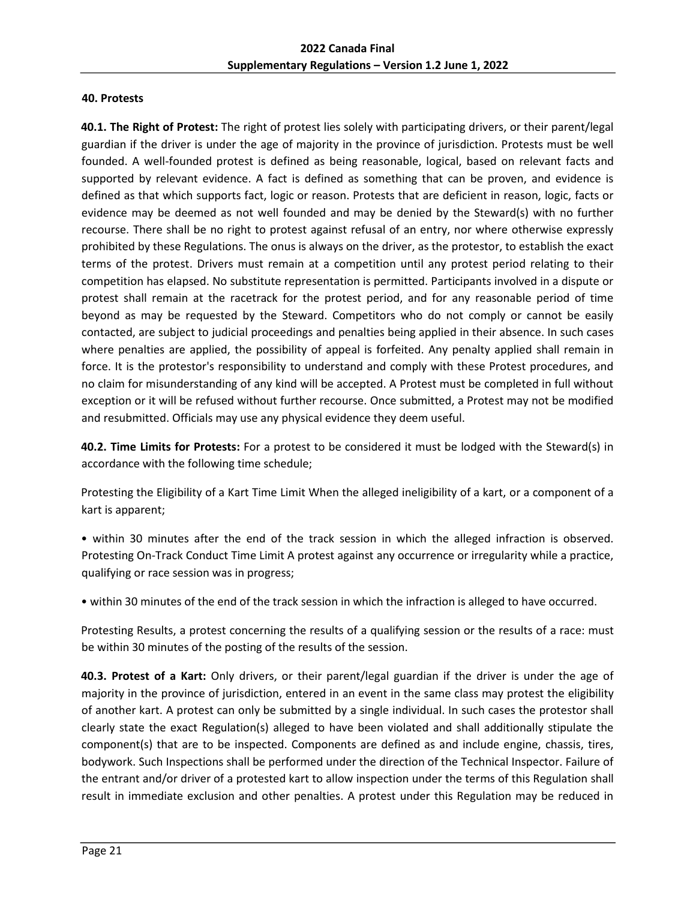## <span id="page-20-0"></span>**40. Protests**

**40.1. The Right of Protest:** The right of protest lies solely with participating drivers, or their parent/legal guardian if the driver is under the age of majority in the province of jurisdiction. Protests must be well founded. A well-founded protest is defined as being reasonable, logical, based on relevant facts and supported by relevant evidence. A fact is defined as something that can be proven, and evidence is defined as that which supports fact, logic or reason. Protests that are deficient in reason, logic, facts or evidence may be deemed as not well founded and may be denied by the Steward(s) with no further recourse. There shall be no right to protest against refusal of an entry, nor where otherwise expressly prohibited by these Regulations. The onus is always on the driver, as the protestor, to establish the exact terms of the protest. Drivers must remain at a competition until any protest period relating to their competition has elapsed. No substitute representation is permitted. Participants involved in a dispute or protest shall remain at the racetrack for the protest period, and for any reasonable period of time beyond as may be requested by the Steward. Competitors who do not comply or cannot be easily contacted, are subject to judicial proceedings and penalties being applied in their absence. In such cases where penalties are applied, the possibility of appeal is forfeited. Any penalty applied shall remain in force. It is the protestor's responsibility to understand and comply with these Protest procedures, and no claim for misunderstanding of any kind will be accepted. A Protest must be completed in full without exception or it will be refused without further recourse. Once submitted, a Protest may not be modified and resubmitted. Officials may use any physical evidence they deem useful.

**40.2. Time Limits for Protests:** For a protest to be considered it must be lodged with the Steward(s) in accordance with the following time schedule;

Protesting the Eligibility of a Kart Time Limit When the alleged ineligibility of a kart, or a component of a kart is apparent;

• within 30 minutes after the end of the track session in which the alleged infraction is observed. Protesting On-Track Conduct Time Limit A protest against any occurrence or irregularity while a practice, qualifying or race session was in progress;

• within 30 minutes of the end of the track session in which the infraction is alleged to have occurred.

Protesting Results, a protest concerning the results of a qualifying session or the results of a race: must be within 30 minutes of the posting of the results of the session.

**40.3. Protest of a Kart:** Only drivers, or their parent/legal guardian if the driver is under the age of majority in the province of jurisdiction, entered in an event in the same class may protest the eligibility of another kart. A protest can only be submitted by a single individual. In such cases the protestor shall clearly state the exact Regulation(s) alleged to have been violated and shall additionally stipulate the component(s) that are to be inspected. Components are defined as and include engine, chassis, tires, bodywork. Such Inspections shall be performed under the direction of the Technical Inspector. Failure of the entrant and/or driver of a protested kart to allow inspection under the terms of this Regulation shall result in immediate exclusion and other penalties. A protest under this Regulation may be reduced in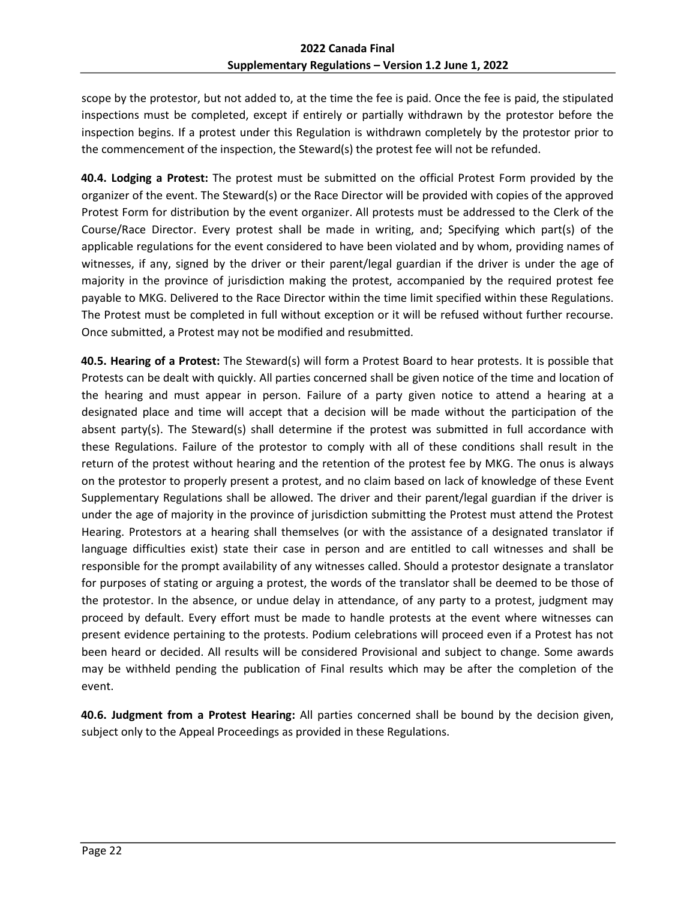scope by the protestor, but not added to, at the time the fee is paid. Once the fee is paid, the stipulated inspections must be completed, except if entirely or partially withdrawn by the protestor before the inspection begins. If a protest under this Regulation is withdrawn completely by the protestor prior to the commencement of the inspection, the Steward(s) the protest fee will not be refunded.

**40.4. Lodging a Protest:** The protest must be submitted on the official Protest Form provided by the organizer of the event. The Steward(s) or the Race Director will be provided with copies of the approved Protest Form for distribution by the event organizer. All protests must be addressed to the Clerk of the Course/Race Director. Every protest shall be made in writing, and; Specifying which part(s) of the applicable regulations for the event considered to have been violated and by whom, providing names of witnesses, if any, signed by the driver or their parent/legal guardian if the driver is under the age of majority in the province of jurisdiction making the protest, accompanied by the required protest fee payable to MKG. Delivered to the Race Director within the time limit specified within these Regulations. The Protest must be completed in full without exception or it will be refused without further recourse. Once submitted, a Protest may not be modified and resubmitted.

**40.5. Hearing of a Protest:** The Steward(s) will form a Protest Board to hear protests. It is possible that Protests can be dealt with quickly. All parties concerned shall be given notice of the time and location of the hearing and must appear in person. Failure of a party given notice to attend a hearing at a designated place and time will accept that a decision will be made without the participation of the absent party(s). The Steward(s) shall determine if the protest was submitted in full accordance with these Regulations. Failure of the protestor to comply with all of these conditions shall result in the return of the protest without hearing and the retention of the protest fee by MKG. The onus is always on the protestor to properly present a protest, and no claim based on lack of knowledge of these Event Supplementary Regulations shall be allowed. The driver and their parent/legal guardian if the driver is under the age of majority in the province of jurisdiction submitting the Protest must attend the Protest Hearing. Protestors at a hearing shall themselves (or with the assistance of a designated translator if language difficulties exist) state their case in person and are entitled to call witnesses and shall be responsible for the prompt availability of any witnesses called. Should a protestor designate a translator for purposes of stating or arguing a protest, the words of the translator shall be deemed to be those of the protestor. In the absence, or undue delay in attendance, of any party to a protest, judgment may proceed by default. Every effort must be made to handle protests at the event where witnesses can present evidence pertaining to the protests. Podium celebrations will proceed even if a Protest has not been heard or decided. All results will be considered Provisional and subject to change. Some awards may be withheld pending the publication of Final results which may be after the completion of the event.

**40.6. Judgment from a Protest Hearing:** All parties concerned shall be bound by the decision given, subject only to the Appeal Proceedings as provided in these Regulations.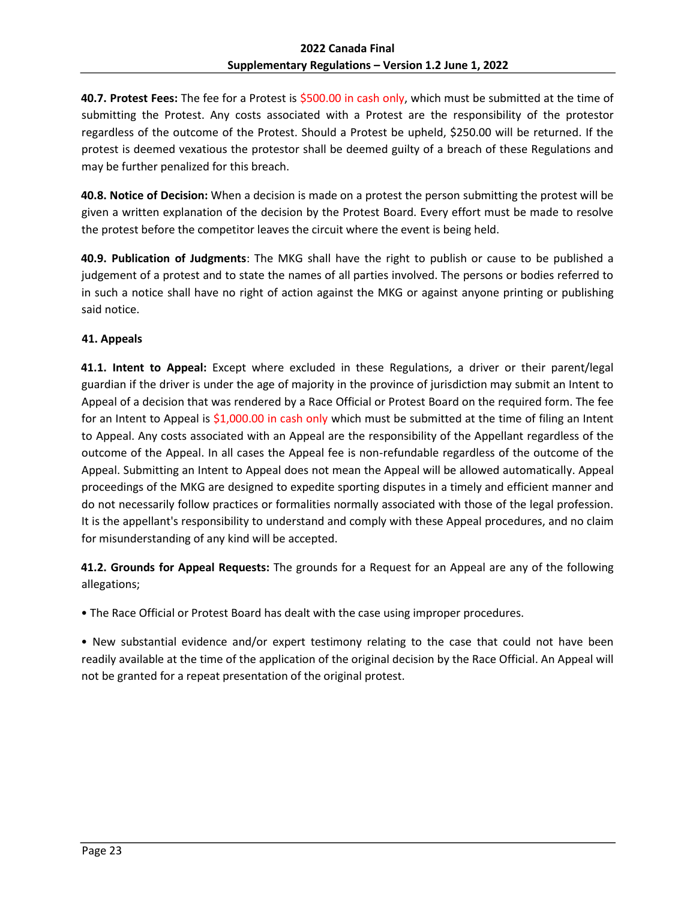**40.7. Protest Fees:** The fee for a Protest is \$500.00 in cash only, which must be submitted at the time of submitting the Protest. Any costs associated with a Protest are the responsibility of the protestor regardless of the outcome of the Protest. Should a Protest be upheld, \$250.00 will be returned. If the protest is deemed vexatious the protestor shall be deemed guilty of a breach of these Regulations and may be further penalized for this breach.

**40.8. Notice of Decision:** When a decision is made on a protest the person submitting the protest will be given a written explanation of the decision by the Protest Board. Every effort must be made to resolve the protest before the competitor leaves the circuit where the event is being held.

**40.9. Publication of Judgments**: The MKG shall have the right to publish or cause to be published a judgement of a protest and to state the names of all parties involved. The persons or bodies referred to in such a notice shall have no right of action against the MKG or against anyone printing or publishing said notice.

# <span id="page-22-0"></span>**41. Appeals**

**41.1. Intent to Appeal:** Except where excluded in these Regulations, a driver or their parent/legal guardian if the driver is under the age of majority in the province of jurisdiction may submit an Intent to Appeal of a decision that was rendered by a Race Official or Protest Board on the required form. The fee for an Intent to Appeal is \$1,000.00 in cash only which must be submitted at the time of filing an Intent to Appeal. Any costs associated with an Appeal are the responsibility of the Appellant regardless of the outcome of the Appeal. In all cases the Appeal fee is non-refundable regardless of the outcome of the Appeal. Submitting an Intent to Appeal does not mean the Appeal will be allowed automatically. Appeal proceedings of the MKG are designed to expedite sporting disputes in a timely and efficient manner and do not necessarily follow practices or formalities normally associated with those of the legal profession. It is the appellant's responsibility to understand and comply with these Appeal procedures, and no claim for misunderstanding of any kind will be accepted.

**41.2. Grounds for Appeal Requests:** The grounds for a Request for an Appeal are any of the following allegations;

• The Race Official or Protest Board has dealt with the case using improper procedures.

• New substantial evidence and/or expert testimony relating to the case that could not have been readily available at the time of the application of the original decision by the Race Official. An Appeal will not be granted for a repeat presentation of the original protest.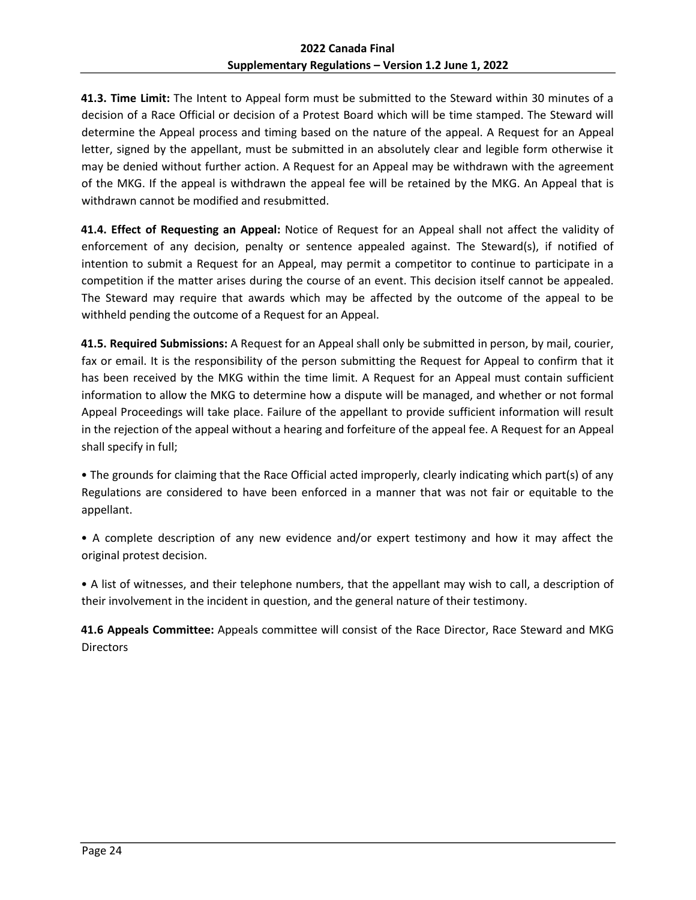**41.3. Time Limit:** The Intent to Appeal form must be submitted to the Steward within 30 minutes of a decision of a Race Official or decision of a Protest Board which will be time stamped. The Steward will determine the Appeal process and timing based on the nature of the appeal. A Request for an Appeal letter, signed by the appellant, must be submitted in an absolutely clear and legible form otherwise it may be denied without further action. A Request for an Appeal may be withdrawn with the agreement of the MKG. If the appeal is withdrawn the appeal fee will be retained by the MKG. An Appeal that is withdrawn cannot be modified and resubmitted.

**41.4. Effect of Requesting an Appeal:** Notice of Request for an Appeal shall not affect the validity of enforcement of any decision, penalty or sentence appealed against. The Steward(s), if notified of intention to submit a Request for an Appeal, may permit a competitor to continue to participate in a competition if the matter arises during the course of an event. This decision itself cannot be appealed. The Steward may require that awards which may be affected by the outcome of the appeal to be withheld pending the outcome of a Request for an Appeal.

**41.5. Required Submissions:** A Request for an Appeal shall only be submitted in person, by mail, courier, fax or email. It is the responsibility of the person submitting the Request for Appeal to confirm that it has been received by the MKG within the time limit. A Request for an Appeal must contain sufficient information to allow the MKG to determine how a dispute will be managed, and whether or not formal Appeal Proceedings will take place. Failure of the appellant to provide sufficient information will result in the rejection of the appeal without a hearing and forfeiture of the appeal fee. A Request for an Appeal shall specify in full;

• The grounds for claiming that the Race Official acted improperly, clearly indicating which part(s) of any Regulations are considered to have been enforced in a manner that was not fair or equitable to the appellant.

• A complete description of any new evidence and/or expert testimony and how it may affect the original protest decision.

• A list of witnesses, and their telephone numbers, that the appellant may wish to call, a description of their involvement in the incident in question, and the general nature of their testimony.

**41.6 Appeals Committee:** Appeals committee will consist of the Race Director, Race Steward and MKG **Directors**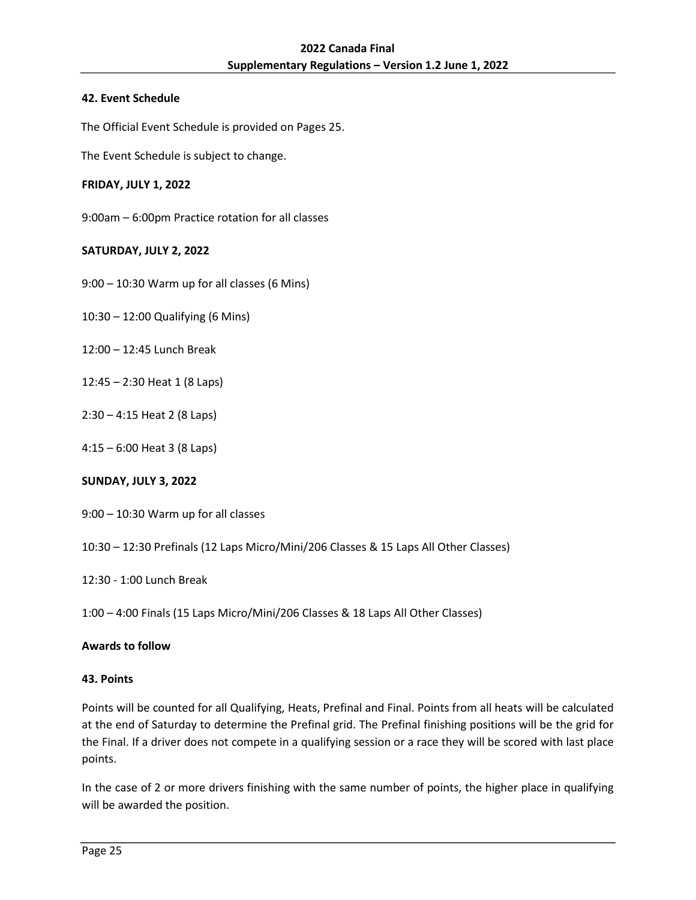## <span id="page-24-0"></span>**42. Event Schedule**

The Official Event Schedule is provided on Pages 25.

The Event Schedule is subject to change.

## **FRIDAY, JULY 1, 2022**

9:00am – 6:00pm Practice rotation for all classes

## **SATURDAY, JULY 2, 2022**

- 9:00 10:30 Warm up for all classes (6 Mins)
- 10:30 12:00 Qualifying (6 Mins)
- 12:00 12:45 Lunch Break
- 12:45 2:30 Heat 1 (8 Laps)
- 2:30 4:15 Heat 2 (8 Laps)
- 4:15 6:00 Heat 3 (8 Laps)

## **SUNDAY, JULY 3, 2022**

- 9:00 10:30 Warm up for all classes
- 10:30 12:30 Prefinals (12 Laps Micro/Mini/206 Classes & 15 Laps All Other Classes)
- 12:30 1:00 Lunch Break
- 1:00 4:00 Finals (15 Laps Micro/Mini/206 Classes & 18 Laps All Other Classes)

## **Awards to follow**

## <span id="page-24-1"></span>**43. Points**

Points will be counted for all Qualifying, Heats, Prefinal and Final. Points from all heats will be calculated at the end of Saturday to determine the Prefinal grid. The Prefinal finishing positions will be the grid for the Final. If a driver does not compete in a qualifying session or a race they will be scored with last place points.

In the case of 2 or more drivers finishing with the same number of points, the higher place in qualifying will be awarded the position.